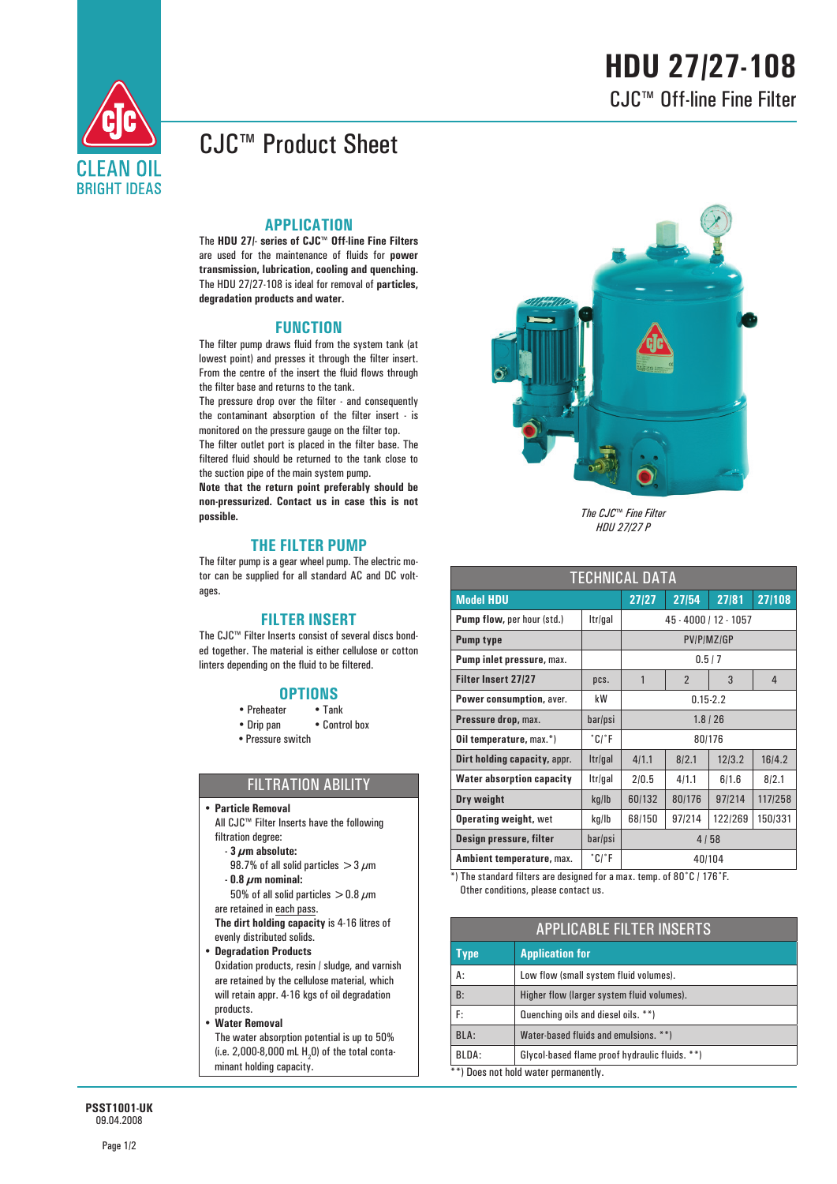# **HDU 27/27-108** CJC™ Off-line Fine Filter



## CJC™ Product Sheet

### **APPLICATION**

The **HDU 27/- series of CJC™ Off-line Fine Filters** are used for the maintenance of fluids for **power transmission, lubrication, cooling and quenching.**  The HDU 27/27-108 is ideal for removal of **particles, degradation products and water.**

### **FUNCTION**

The filter pump draws fluid from the system tank (at lowest point) and presses it through the filter insert. From the centre of the insert the fluid flows through the filter base and returns to the tank.

The pressure drop over the filter - and consequently the contaminant absorption of the filter insert - is monitored on the pressure gauge on the filter top. The filter outlet port is placed in the filter base. The

filtered fluid should be returned to the tank close to the suction pipe of the main system pump. **Note that the return point preferably should be** 

**non-pressurized. Contact us in case this is not possible.**

### **THE FILTER PUMP**

The filter pump is a gear wheel pump. The electric motor can be supplied for all standard AC and DC voltages.

#### **FILTER INSERT**

The CJC™ Filter Inserts consist of several discs bonded together. The material is either cellulose or cotton linters depending on the fluid to be filtered.

- **OPTIONS**• Preheater
- Drip pan Control box
- **•** Pressure switch

### FILTRATION ABILITY

- y **Particle Removal**
	- All CJC™ Filter Inserts have the following filtration degree:
	- **3 μm absolute:**
		- 98.7% of all solid particles  $>$  3  $\mu$ m
	- **0.8 μm nominal:**
	- $50\%$  of all solid particles  $>$  0.8  $\mu$ m are retained in each pass.

**The dirt holding capacity** is 4-16 litres of evenly distributed solids.

y **Degradation Products** Oxidation products, resin / sludge, and varnish are retained by the cellulose material, which will retain appr. 4-16 kgs of oil degradation products.

y **Water Removal**

 The water absorption potential is up to 50% (i.e. 2,000-8,000 mL  $H<sub>2</sub>$ O) of the total contaminant holding capacity.



*The CJC*™ *Fine Filter HDU 27/27 P*

| <b>TECHNICAL DATA</b>             |          |                       |                |         |         |  |  |
|-----------------------------------|----------|-----------------------|----------------|---------|---------|--|--|
| <b>Model HDU</b>                  |          | 27/27                 | 27/54          | 27/81   | 27/108  |  |  |
| <b>Pump flow, per hour (std.)</b> | Itr/gal  | 45 - 4000 / 12 - 1057 |                |         |         |  |  |
| <b>Pump type</b>                  |          | PV/P/MZ/GP            |                |         |         |  |  |
| Pump inlet pressure, max.         |          | 0.5/7                 |                |         |         |  |  |
| <b>Filter Insert 27/27</b>        | pcs.     | 1                     | $\overline{2}$ | 3       | 4       |  |  |
| Power consumption, aver.          | kW       | $0.15 - 2.2$          |                |         |         |  |  |
| Pressure drop, max.               | bar/psi  | $1.8$ / 26            |                |         |         |  |  |
| <b>Oil temperature, max.*)</b>    | $°C$ $F$ | 80/176                |                |         |         |  |  |
| Dirt holding capacity, appr.      | Itr/gal  | 4/1.1                 | 8/2.1          | 12/3.2  | 16/4.2  |  |  |
| <b>Water absorption capacity</b>  | Itr/gal  | 2/0.5                 | 4/1.1          | 6/1.6   | 8/2.1   |  |  |
| Dry weight                        | kg/lb    | 60/132                | 80/176         | 97/214  | 117/258 |  |  |
| <b>Operating weight, wet</b>      | kg/lb    | 68/150                | 97/214         | 122/269 | 150/331 |  |  |
| Design pressure, filter           | bar/psi  | 4/58                  |                |         |         |  |  |
| Ambient temperature, max.         | °C/°F    | 40/104                |                |         |         |  |  |

\*) The standard filters are designed for a max. temp. of 80˚C / 176˚F. Other conditions, please contact us.

| <b>APPLICABLE FILTER INSERTS</b>     |                                                |  |
|--------------------------------------|------------------------------------------------|--|
| Type                                 | <b>Application for</b>                         |  |
| A:                                   | Low flow (small system fluid volumes).         |  |
| B:                                   | Higher flow (larger system fluid volumes).     |  |
| F:                                   | Quenching oils and diesel oils. **)            |  |
| BLA:                                 | Water-based fluids and emulsions. **)          |  |
| BLDA:                                | Glycol-based flame proof hydraulic fluids. **) |  |
| **) Does not hold water permanently. |                                                |  |

**PSST1001-UK** 09.04.2008